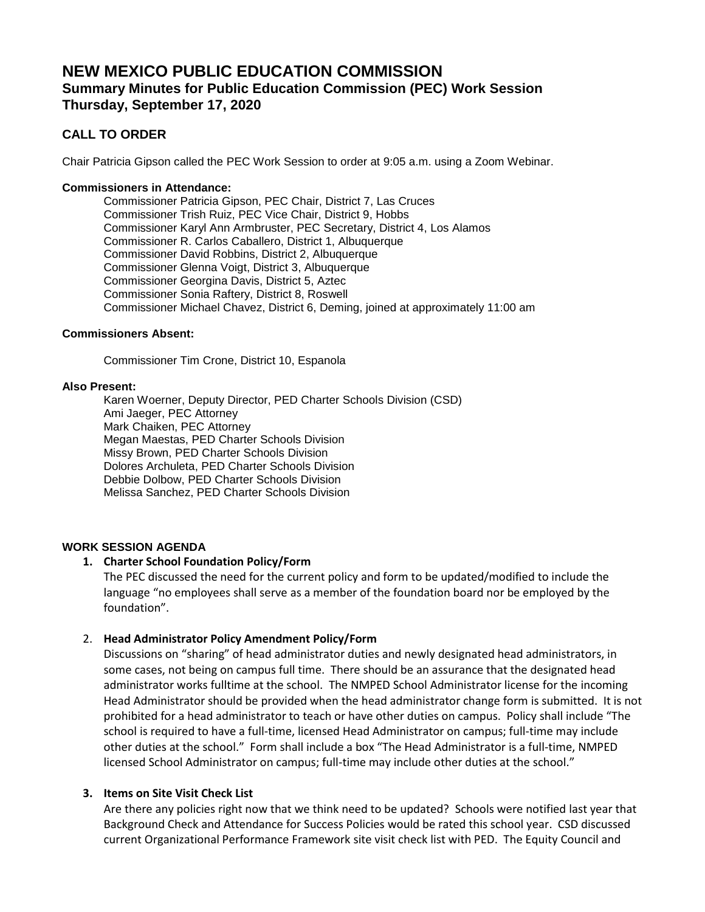# **NEW MEXICO PUBLIC EDUCATION COMMISSION Summary Minutes for Public Education Commission (PEC) Work Session Thursday, September 17, 2020**

# **CALL TO ORDER**

Chair Patricia Gipson called the PEC Work Session to order at 9:05 a.m. using a Zoom Webinar.

#### **Commissioners in Attendance:**

Commissioner Patricia Gipson, PEC Chair, District 7, Las Cruces Commissioner Trish Ruiz, PEC Vice Chair, District 9, Hobbs Commissioner Karyl Ann Armbruster, PEC Secretary, District 4, Los Alamos Commissioner R. Carlos Caballero, District 1, Albuquerque Commissioner David Robbins, District 2, Albuquerque Commissioner Glenna Voigt, District 3, Albuquerque Commissioner Georgina Davis, District 5, Aztec Commissioner Sonia Raftery, District 8, Roswell Commissioner Michael Chavez, District 6, Deming, joined at approximately 11:00 am

#### **Commissioners Absent:**

Commissioner Tim Crone, District 10, Espanola

#### **Also Present:**

Karen Woerner, Deputy Director, PED Charter Schools Division (CSD) Ami Jaeger, PEC Attorney Mark Chaiken, PEC Attorney Megan Maestas, PED Charter Schools Division Missy Brown, PED Charter Schools Division Dolores Archuleta, PED Charter Schools Division Debbie Dolbow, PED Charter Schools Division Melissa Sanchez, PED Charter Schools Division

# **WORK SESSION AGENDA**

# **1. Charter School Foundation Policy/Form**

The PEC discussed the need for the current policy and form to be updated/modified to include the language "no employees shall serve as a member of the foundation board nor be employed by the foundation".

# 2. **Head Administrator Policy Amendment Policy/Form**

Discussions on "sharing" of head administrator duties and newly designated head administrators, in some cases, not being on campus full time. There should be an assurance that the designated head administrator works fulltime at the school. The NMPED School Administrator license for the incoming Head Administrator should be provided when the head administrator change form is submitted. It is not prohibited for a head administrator to teach or have other duties on campus. Policy shall include "The school is required to have a full-time, licensed Head Administrator on campus; full-time may include other duties at the school." Form shall include a box "The Head Administrator is a full-time, NMPED licensed School Administrator on campus; full-time may include other duties at the school."

# **3. Items on Site Visit Check List**

Are there any policies right now that we think need to be updated? Schools were notified last year that Background Check and Attendance for Success Policies would be rated this school year. CSD discussed current Organizational Performance Framework site visit check list with PED. The Equity Council and